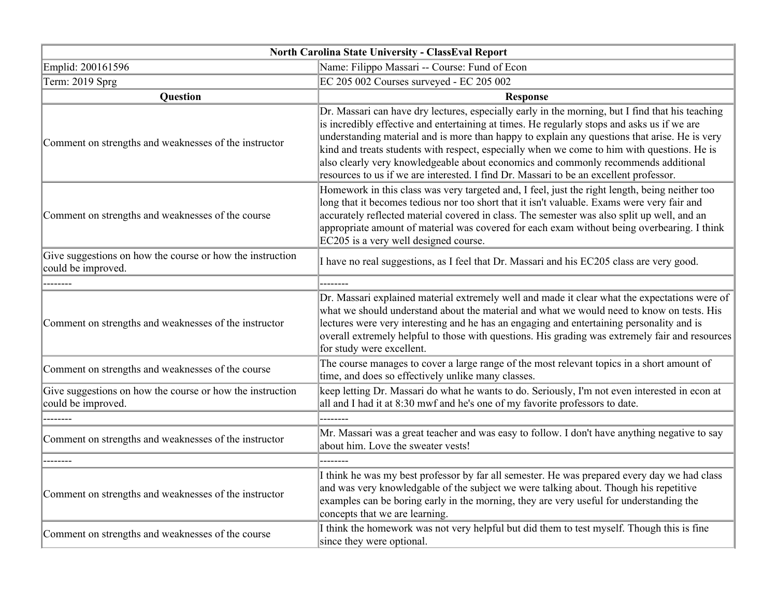| North Carolina State University - ClassEval Report                              |                                                                                                                                                                                                                                                                                                                                                                                                                                                                                                                                                                                 |
|---------------------------------------------------------------------------------|---------------------------------------------------------------------------------------------------------------------------------------------------------------------------------------------------------------------------------------------------------------------------------------------------------------------------------------------------------------------------------------------------------------------------------------------------------------------------------------------------------------------------------------------------------------------------------|
| Emplid: 200161596                                                               | Name: Filippo Massari -- Course: Fund of Econ                                                                                                                                                                                                                                                                                                                                                                                                                                                                                                                                   |
| Term: 2019 Sprg                                                                 | EC 205 002 Courses surveyed - EC 205 002                                                                                                                                                                                                                                                                                                                                                                                                                                                                                                                                        |
| Question                                                                        | <b>Response</b>                                                                                                                                                                                                                                                                                                                                                                                                                                                                                                                                                                 |
| Comment on strengths and weaknesses of the instructor                           | Dr. Massari can have dry lectures, especially early in the morning, but I find that his teaching<br>is incredibly effective and entertaining at times. He regularly stops and asks us if we are<br>understanding material and is more than happy to explain any questions that arise. He is very<br>kind and treats students with respect, especially when we come to him with questions. He is<br>also clearly very knowledgeable about economics and commonly recommends additional<br>resources to us if we are interested. I find Dr. Massari to be an excellent professor. |
| Comment on strengths and weaknesses of the course                               | Homework in this class was very targeted and, I feel, just the right length, being neither too<br>long that it becomes tedious nor too short that it isn't valuable. Exams were very fair and<br>accurately reflected material covered in class. The semester was also split up well, and an<br>appropriate amount of material was covered for each exam without being overbearing. I think<br>EC205 is a very well designed course.                                                                                                                                            |
| Give suggestions on how the course or how the instruction<br>could be improved. | I have no real suggestions, as I feel that Dr. Massari and his EC205 class are very good.                                                                                                                                                                                                                                                                                                                                                                                                                                                                                       |
|                                                                                 |                                                                                                                                                                                                                                                                                                                                                                                                                                                                                                                                                                                 |
| Comment on strengths and weaknesses of the instructor                           | Dr. Massari explained material extremely well and made it clear what the expectations were of<br>what we should understand about the material and what we would need to know on tests. His<br>lectures were very interesting and he has an engaging and entertaining personality and is<br>overall extremely helpful to those with questions. His grading was extremely fair and resources<br>for study were excellent.                                                                                                                                                         |
| Comment on strengths and weaknesses of the course                               | The course manages to cover a large range of the most relevant topics in a short amount of<br>time, and does so effectively unlike many classes.                                                                                                                                                                                                                                                                                                                                                                                                                                |
| Give suggestions on how the course or how the instruction<br>could be improved. | keep letting Dr. Massari do what he wants to do. Seriously, I'm not even interested in econ at<br>all and I had it at 8:30 mwf and he's one of my favorite professors to date.                                                                                                                                                                                                                                                                                                                                                                                                  |
| Comment on strengths and weaknesses of the instructor                           | Mr. Massari was a great teacher and was easy to follow. I don't have anything negative to say<br>about him. Love the sweater vests!                                                                                                                                                                                                                                                                                                                                                                                                                                             |
|                                                                                 | I think he was my best professor by far all semester. He was prepared every day we had class                                                                                                                                                                                                                                                                                                                                                                                                                                                                                    |
| Comment on strengths and weaknesses of the instructor                           | and was very knowledgable of the subject we were talking about. Though his repetitive<br>examples can be boring early in the morning, they are very useful for understanding the<br>concepts that we are learning.                                                                                                                                                                                                                                                                                                                                                              |
| Comment on strengths and weaknesses of the course                               | I think the homework was not very helpful but did them to test myself. Though this is fine<br>since they were optional.                                                                                                                                                                                                                                                                                                                                                                                                                                                         |